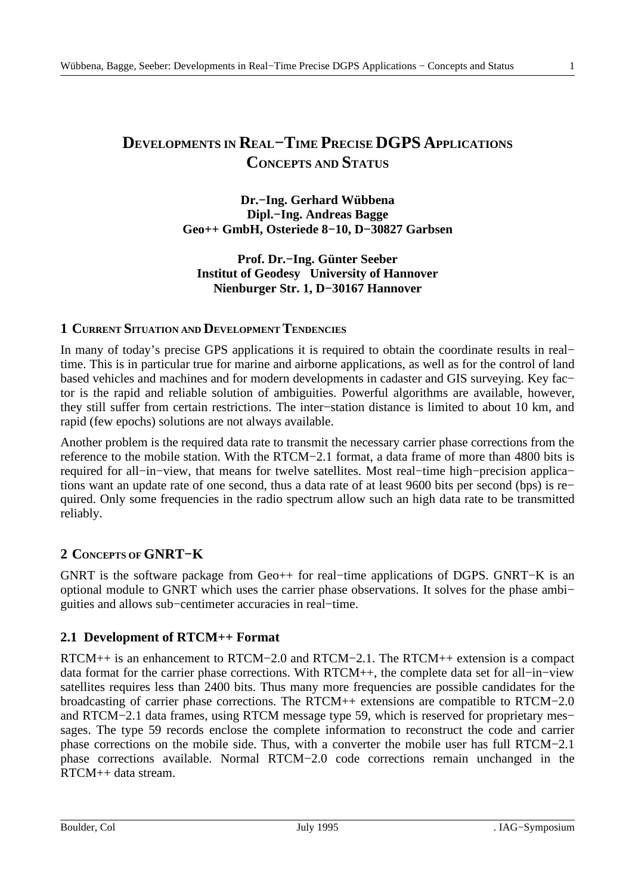# **DEVELOPMENTS IN REAL−TIME PRECISE DGPS APPLICATIONS CONCEPTS AND STATUS**

**Dr.−Ing. Gerhard Wübbena Dipl.−Ing. Andreas Bagge Geo++ GmbH, Osteriede 8−10, D−30827 Garbsen**

#### **Prof. Dr.−Ing. Günter Seeber Institut of Geodesy University of Hannover Nienburger Str. 1, D−30167 Hannover**

# **1 CURRENT SITUATION AND DEVELOPMENT TENDENCIES**

In many of today's precise GPS applications it is required to obtain the coordinate results in real− time. This is in particular true for marine and airborne applications, as well as for the control of land based vehicles and machines and for modern developments in cadaster and GIS surveying. Key fac− tor is the rapid and reliable solution of ambiguities. Powerful algorithms are available, however, they still suffer from certain restrictions. The inter−station distance is limited to about 10 km, and rapid (few epochs) solutions are not always available.

Another problem is the required data rate to transmit the necessary carrier phase corrections from the reference to the mobile station. With the RTCM−2.1 format, a data frame of more than 4800 bits is required for all−in−view, that means for twelve satellites. Most real−time high−precision applica− tions want an update rate of one second, thus a data rate of at least 9600 bits per second (bps) is re− quired. Only some frequencies in the radio spectrum allow such an high data rate to be transmitted reliably.

# **2 CONCEPTS OF GNRT−K**

GNRT is the software package from Geo++ for real−time applications of DGPS. GNRT−K is an optional module to GNRT which uses the carrier phase observations. It solves for the phase ambi− guities and allows sub−centimeter accuracies in real−time.

## **2.1 Development of RTCM++ Format**

RTCM++ is an enhancement to RTCM−2.0 and RTCM−2.1. The RTCM++ extension is a compact data format for the carrier phase corrections. With RTCM++, the complete data set for all−in−view satellites requires less than 2400 bits. Thus many more frequencies are possible candidates for the broadcasting of carrier phase corrections. The RTCM++ extensions are compatible to RTCM−2.0 and RTCM−2.1 data frames, using RTCM message type 59, which is reserved for proprietary mes− sages. The type 59 records enclose the complete information to reconstruct the code and carrier phase corrections on the mobile side. Thus, with a converter the mobile user has full RTCM−2.1 phase corrections available. Normal RTCM−2.0 code corrections remain unchanged in the RTCM++ data stream.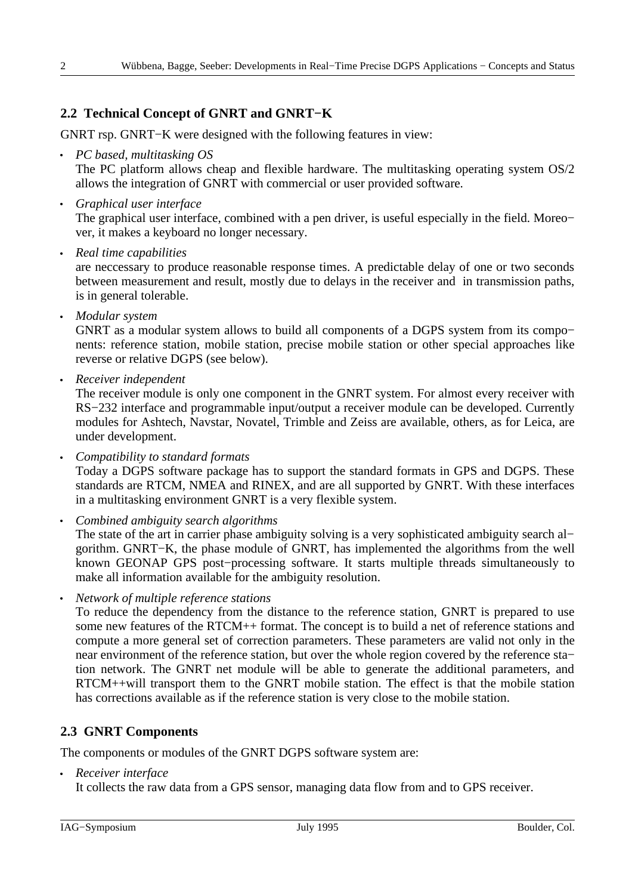## **2.2 Technical Concept of GNRT and GNRT−K**

GNRT rsp. GNRT−K were designed with the following features in view:

*PC based, multitasking OS*

The PC platform allows cheap and flexible hardware. The multitasking operating system OS/2 allows the integration of GNRT with commercial or user provided software.

- *Graphical user interface* The graphical user interface, combined with a pen driver, is useful especially in the field. Moreo− ver, it makes a keyboard no longer necessary.
- *Real time capabilities*

are neccessary to produce reasonable response times. A predictable delay of one or two seconds between measurement and result, mostly due to delays in the receiver and in transmission paths, is in general tolerable.

*Modular system*

GNRT as a modular system allows to build all components of a DGPS system from its compo− nents: reference station, mobile station, precise mobile station or other special approaches like reverse or relative DGPS (see below).

*Receiver independent*

The receiver module is only one component in the GNRT system. For almost every receiver with RS−232 interface and programmable input/output a receiver module can be developed. Currently modules for Ashtech, Navstar, Novatel, Trimble and Zeiss are available, others, as for Leica, are under development.

*Compatibility to standard formats*

Today a DGPS software package has to support the standard formats in GPS and DGPS. These standards are RTCM, NMEA and RINEX, and are all supported by GNRT. With these interfaces in a multitasking environment GNRT is a very flexible system.

*Combined ambiguity search algorithms*

The state of the art in carrier phase ambiguity solving is a very sophisticated ambiguity search al− gorithm. GNRT−K, the phase module of GNRT, has implemented the algorithms from the well known GEONAP GPS post−processing software. It starts multiple threads simultaneously to make all information available for the ambiguity resolution.

*Network of multiple reference stations*

To reduce the dependency from the distance to the reference station, GNRT is prepared to use some new features of the RTCM++ format. The concept is to build a net of reference stations and compute a more general set of correction parameters. These parameters are valid not only in the near environment of the reference station, but over the whole region covered by the reference sta− tion network. The GNRT net module will be able to generate the additional parameters, and RTCM++will transport them to the GNRT mobile station. The effect is that the mobile station has corrections available as if the reference station is very close to the mobile station.

## **2.3 GNRT Components**

The components or modules of the GNRT DGPS software system are:

*Receiver interface*

It collects the raw data from a GPS sensor, managing data flow from and to GPS receiver.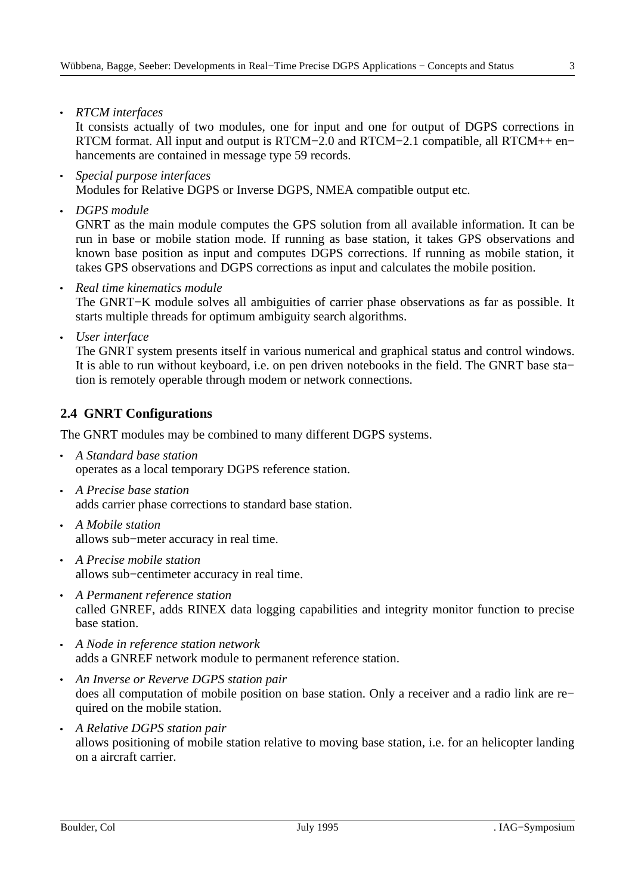*RTCM interfaces*

It consists actually of two modules, one for input and one for output of DGPS corrections in RTCM format. All input and output is RTCM−2.0 and RTCM−2.1 compatible, all RTCM++ en− hancements are contained in message type 59 records.

- *Special purpose interfaces* Modules for Relative DGPS or Inverse DGPS, NMEA compatible output etc.
- *DGPS module*

GNRT as the main module computes the GPS solution from all available information. It can be run in base or mobile station mode. If running as base station, it takes GPS observations and known base position as input and computes DGPS corrections. If running as mobile station, it takes GPS observations and DGPS corrections as input and calculates the mobile position.

*Real time kinematics module*

The GNRT−K module solves all ambiguities of carrier phase observations as far as possible. It starts multiple threads for optimum ambiguity search algorithms.

*User interface*

The GNRT system presents itself in various numerical and graphical status and control windows. It is able to run without keyboard, i.e. on pen driven notebooks in the field. The GNRT base sta− tion is remotely operable through modem or network connections.

#### **2.4 GNRT Configurations**

The GNRT modules may be combined to many different DGPS systems.

- *A Standard base station* operates as a local temporary DGPS reference station.
- *A Precise base station* adds carrier phase corrections to standard base station.
- *A Mobile station* allows sub−meter accuracy in real time.
- *A Precise mobile station* allows sub−centimeter accuracy in real time.
- *A Permanent reference station* called GNREF, adds RINEX data logging capabilities and integrity monitor function to precise base station.
- *A Node in reference station network* adds a GNREF network module to permanent reference station.
- *An Inverse or Reverve DGPS station pair* does all computation of mobile position on base station. Only a receiver and a radio link are re− quired on the mobile station.
- *A Relative DGPS station pair* allows positioning of mobile station relative to moving base station, i.e. for an helicopter landing on a aircraft carrier.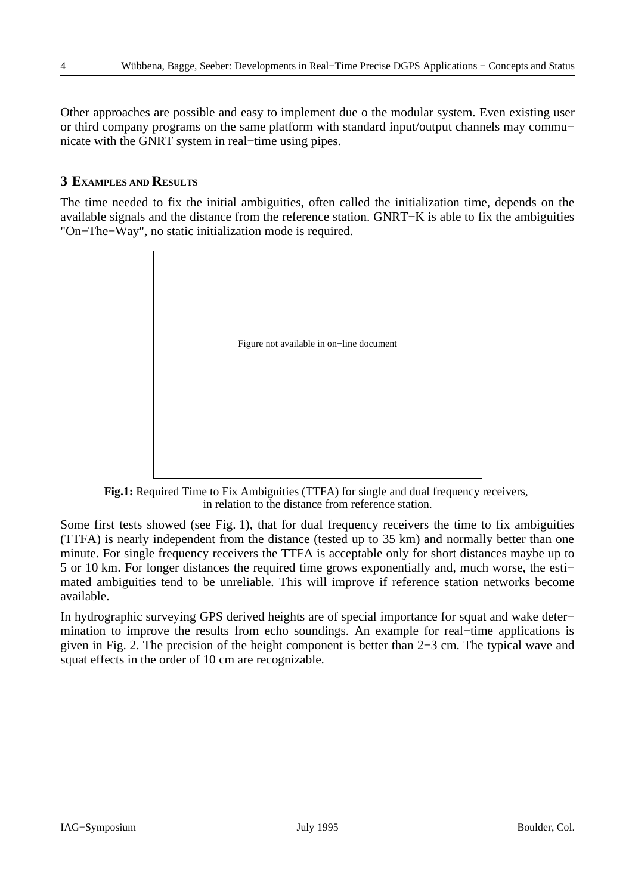Other approaches are possible and easy to implement due o the modular system. Even existing user or third company programs on the same platform with standard input/output channels may commu− nicate with the GNRT system in real−time using pipes.

#### **3 EXAMPLES AND RESULTS**

The time needed to fix the initial ambiguities, often called the initialization time, depends on the available signals and the distance from the reference station. GNRT−K is able to fix the ambiguities "On−The−Way", no static initialization mode is required.



**Fig.1:** Required Time to Fix Ambiguities (TTFA) for single and dual frequency receivers, in relation to the distance from reference station.

Some first tests showed (see Fig. 1), that for dual frequency receivers the time to fix ambiguities (TTFA) is nearly independent from the distance (tested up to 35 km) and normally better than one minute. For single frequency receivers the TTFA is acceptable only for short distances maybe up to 5 or 10 km. For longer distances the required time grows exponentially and, much worse, the esti− mated ambiguities tend to be unreliable. This will improve if reference station networks become available.

In hydrographic surveying GPS derived heights are of special importance for squat and wake deter− mination to improve the results from echo soundings. An example for real−time applications is given in Fig. 2. The precision of the height component is better than 2−3 cm. The typical wave and squat effects in the order of 10 cm are recognizable.